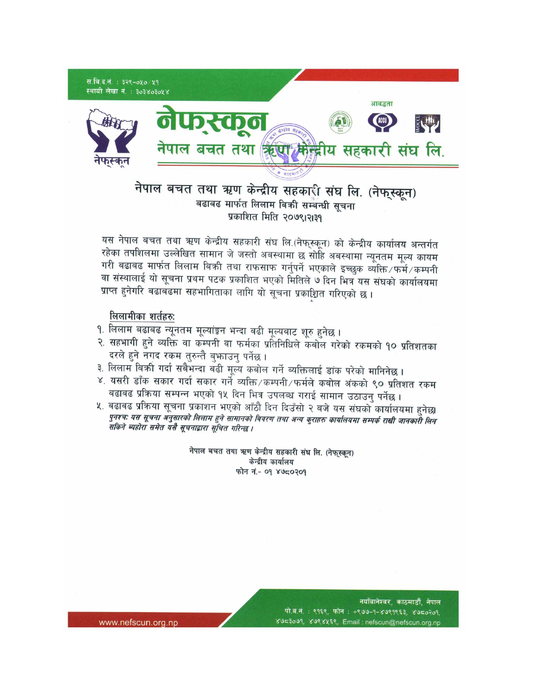

## नेपाल बचत तथा ऋण केन्द्रीय सहकारी संघ लि. (नेफुस्कून) बढाबढ मार्फत लिलाम बिकी सम्बन्धी सचना प्रकाशित मिति २०७९।२।३१

यस नेपाल बचत तथा ऋण केन्द्रीय सहकारी संघ लि.(नेफुस्कून) को केन्द्रीय कार्यालय अन्तर्गत रहेका तपशिलमा उल्लेखित सामान जे जस्तो अबस्थामा छ सोहि अबस्थामा न्यूनतम मूल्य कायम गरी बढाबढ मार्फत लिलाम बिकी तथा राफसाफ गर्नुपर्ने भएकाले इच्छुक व्यक्ति/फर्मे/कम्पनी वा संस्थालाई यो सूचना प्रथम पटक प्रकाशित भएको मितिले ७ दिन भित्र यस संघको कार्यालयमा प्राप्त हुनेगरि बढाबढमा सहभागिताका लागि यो सूचना प्रकाशित गरिएको छ।

## लिलामीका शर्तहरु:

- १. लिलाम बढाबढ न्यूनतम मूल्यांङ्ग्न भन्दा बढी मूल्यबाट शूरु हुनेछ ।
- २. सहभागी हुने व्यक्ति वा कम्पनी वा फर्मका प्रतिनिधिले कबोल गरेको रकमको १० प्रतिशतका दरले हुने नगद रकम तुरुन्तै बुफाउनु पर्नेछ ।
- ३. लिलाम बिकी गर्दा सबैभन्दा बढी मूल्य कबोल गर्ने ब्यक्तिलाई डांक परेको मानिनेछ ।
- ४. यसरी डाँक सकार गर्दा सकार गर्ने व्यक्ति/कम्पनी/फर्मले कबोल अंकको ९० प्रतिशत रकम बढाबढ प्रक्रिया सम्पन्न भएको १५ दिन भित्र उपलब्ध गराई सामान उठाउनु पर्नेछ ।
- ५. बढाबढ प्रक्रिया सूचना प्रकाशन भएको आँठौ दिन दिउँसो २ बजे यस संघको कार्यालयमा हुनेछ। पुनश्च: यस सूचना अनुसारको लिलाम हुने सामानको बिवरण तथा अन्य कुराहरु कार्यालयमा सम्पर्क राखी जानकारौ लिन सकिने ब्यहोरा समेत यसै सूचनाद्वारा सूचित गरिन्छ ।

नेपाल बचत तथा ऋण केन्द्रीय सहकारी संघ लि. (नेफुस्कून) केन्द्रीय कार्यालय फोन नं.- ०१ ४७८०२०१

> नयाँबानेश्वर, काठमाडौँ, नेपाल पो.ब.नं.: ९१६९, फोन: +९७७-१-४७९१९६३, ४७८०२०१, ४७८३०७१, ४७९४५६९, Email : nefscun@nefscun.org.np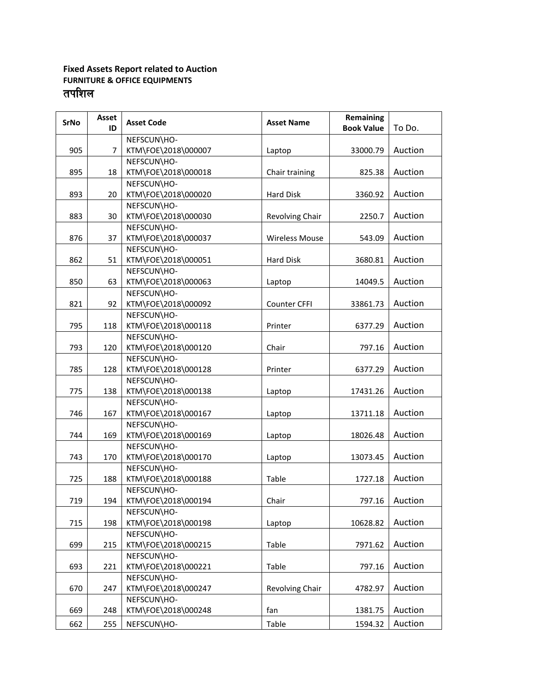## **Fixed Assets Report related to Auction FURNITURE & OFFICE EQUIPMENTS** तपशिल

| <b>SrNo</b> | <b>Asset</b><br>ID | <b>Asset Code</b>                  | <b>Asset Name</b>     | <b>Remaining</b><br><b>Book Value</b> | To Do.  |
|-------------|--------------------|------------------------------------|-----------------------|---------------------------------------|---------|
|             |                    | NEFSCUN\HO-                        |                       |                                       |         |
| 905         | 7                  | KTM\FOE\2018\000007                | Laptop                | 33000.79                              | Auction |
|             |                    | NEFSCUN\HO-                        |                       |                                       |         |
| 895         | 18                 | KTM\FOE\2018\000018                | Chair training        | 825.38                                | Auction |
|             |                    | NEFSCUN\HO-                        |                       |                                       |         |
| 893         | 20                 | KTM\FOE\2018\000020                | <b>Hard Disk</b>      | 3360.92                               | Auction |
|             |                    | NEFSCUN\HO-                        |                       |                                       |         |
| 883         | 30                 | KTM\FOE\2018\000030                | Revolving Chair       | 2250.7                                | Auction |
|             |                    | NEFSCUN\HO-                        |                       |                                       |         |
| 876         | 37                 | KTM\FOE\2018\000037                | <b>Wireless Mouse</b> | 543.09                                | Auction |
|             |                    | NEFSCUN\HO-                        |                       |                                       |         |
| 862         | 51                 | KTM\FOE\2018\000051                | <b>Hard Disk</b>      | 3680.81                               | Auction |
|             |                    | NEFSCUN\HO-                        |                       |                                       |         |
| 850         | 63                 | KTM\FOE\2018\000063                | Laptop                | 14049.5                               | Auction |
|             |                    | NEFSCUN\HO-                        |                       |                                       |         |
| 821         | 92                 | KTM\FOE\2018\000092                | <b>Counter CFFI</b>   | 33861.73                              | Auction |
|             |                    | NEFSCUN\HO-                        |                       |                                       |         |
| 795         | 118                | KTM\FOE\2018\000118                | Printer               | 6377.29                               | Auction |
|             |                    | NEFSCUN\HO-                        |                       |                                       |         |
| 793         | 120                | KTM\FOE\2018\000120                | Chair                 | 797.16                                | Auction |
|             |                    | NEFSCUN\HO-                        |                       |                                       |         |
| 785         | 128                | KTM\FOE\2018\000128                | Printer               | 6377.29                               | Auction |
|             |                    | NEFSCUN\HO-                        |                       |                                       |         |
| 775         | 138                | KTM\FOE\2018\000138                | Laptop                | 17431.26                              | Auction |
|             |                    | NEFSCUN\HO-                        |                       |                                       |         |
| 746         | 167                | KTM\FOE\2018\000167                | Laptop                | 13711.18                              | Auction |
|             |                    | NEFSCUN\HO-                        |                       |                                       |         |
| 744         | 169                | KTM\FOE\2018\000169                | Laptop                | 18026.48                              | Auction |
|             |                    | NEFSCUN\HO-<br>KTM\FOE\2018\000170 |                       |                                       | Auction |
| 743         | 170                | NEFSCUN\HO-                        | Laptop                | 13073.45                              |         |
| 725         | 188                | KTM\FOE\2018\000188                | Table                 | 1727.18                               | Auction |
|             |                    | NEFSCUN\HO-                        |                       |                                       |         |
| 719         | 194                | KTM\FOE\2018\000194                | Chair                 | 797.16                                | Auction |
|             |                    | NEFSCUN\HO-                        |                       |                                       |         |
| 715         | 198                | KTM\FOE\2018\000198                | Laptop                | 10628.82                              | Auction |
|             |                    | NEFSCUN\HO-                        |                       |                                       |         |
| 699         | 215                | KTM\FOE\2018\000215                | Table                 | 7971.62                               | Auction |
|             |                    | NEFSCUN\HO-                        |                       |                                       |         |
| 693         | 221                | KTM\FOE\2018\000221                | Table                 | 797.16                                | Auction |
|             |                    | NEFSCUN\HO-                        |                       |                                       |         |
| 670         | 247                | KTM\FOE\2018\000247                | Revolving Chair       | 4782.97                               | Auction |
|             |                    | NEFSCUN\HO-                        |                       |                                       |         |
| 669         | 248                | KTM\FOE\2018\000248                | fan                   | 1381.75                               | Auction |
| 662         | 255                | NEFSCUN\HO-                        | Table                 | 1594.32                               | Auction |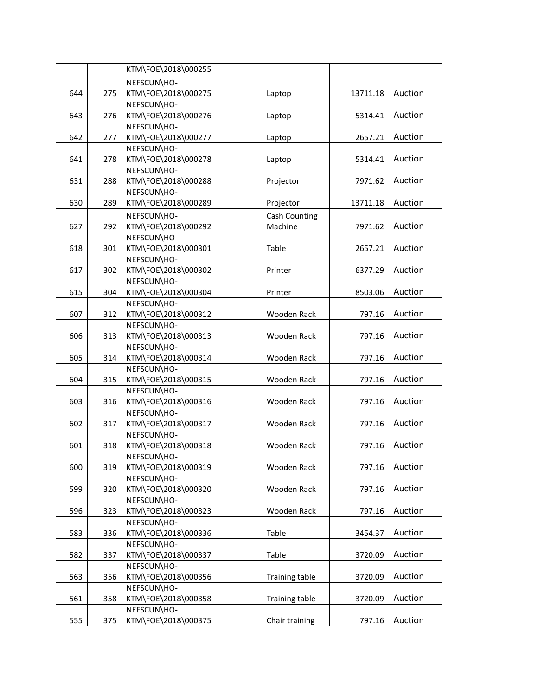|     |     | KTM\FOE\2018\000255                |                      |          |         |
|-----|-----|------------------------------------|----------------------|----------|---------|
|     |     | NEFSCUN\HO-                        |                      |          |         |
| 644 | 275 | KTM\FOE\2018\000275                | Laptop               | 13711.18 | Auction |
|     |     | NEFSCUN\HO-                        |                      |          |         |
| 643 | 276 | KTM\FOE\2018\000276                | Laptop               | 5314.41  | Auction |
|     |     | NEFSCUN\HO-                        |                      |          |         |
| 642 | 277 | KTM\FOE\2018\000277                | Laptop               | 2657.21  | Auction |
|     |     | NEFSCUN\HO-                        |                      |          |         |
| 641 | 278 | KTM\FOE\2018\000278                | Laptop               | 5314.41  | Auction |
|     |     | NEFSCUN\HO-                        |                      |          |         |
| 631 | 288 | KTM\FOE\2018\000288                | Projector            | 7971.62  | Auction |
|     |     | NEFSCUN\HO-                        |                      |          |         |
| 630 | 289 | KTM\FOE\2018\000289                | Projector            | 13711.18 | Auction |
|     |     | NEFSCUN\HO-                        | <b>Cash Counting</b> |          |         |
| 627 | 292 | KTM\FOE\2018\000292                | Machine              | 7971.62  | Auction |
|     |     | NEFSCUN\HO-                        |                      |          |         |
| 618 | 301 | KTM\FOE\2018\000301                | Table                | 2657.21  | Auction |
|     |     | NEFSCUN\HO-                        |                      |          |         |
| 617 | 302 | KTM\FOE\2018\000302                | Printer              | 6377.29  | Auction |
|     |     | NEFSCUN\HO-                        |                      |          |         |
| 615 | 304 | KTM\FOE\2018\000304                | Printer              | 8503.06  | Auction |
|     |     | NEFSCUN\HO-                        |                      |          |         |
| 607 | 312 | KTM\FOE\2018\000312                | Wooden Rack          | 797.16   | Auction |
|     |     | NEFSCUN\HO-                        |                      |          |         |
| 606 | 313 | KTM\FOE\2018\000313                | Wooden Rack          | 797.16   | Auction |
|     |     | NEFSCUN\HO-                        |                      |          |         |
| 605 | 314 | KTM\FOE\2018\000314                | Wooden Rack          | 797.16   | Auction |
|     |     | NEFSCUN\HO-                        |                      |          |         |
| 604 | 315 | KTM\FOE\2018\000315                | Wooden Rack          | 797.16   | Auction |
|     |     | NEFSCUN\HO-                        |                      |          |         |
| 603 | 316 | KTM\FOE\2018\000316                | Wooden Rack          | 797.16   | Auction |
|     |     | NEFSCUN\HO-                        |                      |          |         |
| 602 | 317 | KTM\FOE\2018\000317                | Wooden Rack          | 797.16   | Auction |
|     |     | NEFSCUN\HO-                        |                      |          |         |
| 601 | 318 | KTM\FOE\2018\000318                | Wooden Rack          | 797.16   | Auction |
|     |     | NEFSCUN\HO-                        |                      |          |         |
| 600 | 319 | KTM\FOE\2018\000319                | Wooden Rack          | 797.16   | Auction |
|     |     | NEFSCUN\HO-                        |                      |          |         |
| 599 | 320 | KTM\FOE\2018\000320                | Wooden Rack          | 797.16   | Auction |
|     |     | NEFSCUN\HO-                        |                      |          |         |
| 596 | 323 | KTM\FOE\2018\000323                | Wooden Rack          | 797.16   | Auction |
|     |     | NEFSCUN\HO-                        |                      |          |         |
| 583 | 336 | KTM\FOE\2018\000336                | Table                | 3454.37  | Auction |
|     |     | NEFSCUN\HO-                        |                      |          |         |
| 582 | 337 | KTM\FOE\2018\000337                | Table                | 3720.09  | Auction |
|     |     | NEFSCUN\HO-                        |                      |          | Auction |
| 563 | 356 | KTM\FOE\2018\000356                | Training table       | 3720.09  |         |
|     |     | NEFSCUN\HO-                        |                      |          | Auction |
| 561 | 358 | KTM\FOE\2018\000358<br>NEFSCUN\HO- | Training table       | 3720.09  |         |
|     |     | KTM\FOE\2018\000375                |                      |          | Auction |
| 555 | 375 |                                    | Chair training       | 797.16   |         |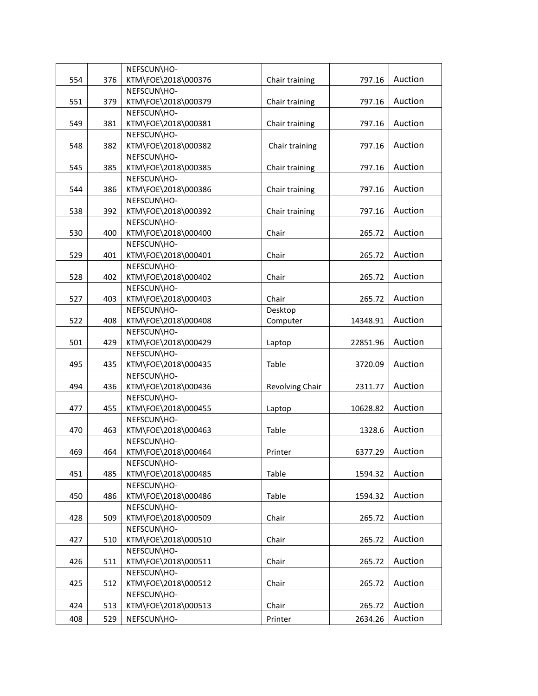|     |     | NEFSCUN\HO-         |                 |          |         |
|-----|-----|---------------------|-----------------|----------|---------|
| 554 | 376 | KTM\FOE\2018\000376 | Chair training  | 797.16   | Auction |
|     |     | NEFSCUN\HO-         |                 |          |         |
| 551 | 379 | KTM\FOE\2018\000379 | Chair training  | 797.16   | Auction |
|     |     | NEFSCUN\HO-         |                 |          |         |
| 549 | 381 | KTM\FOE\2018\000381 | Chair training  | 797.16   | Auction |
|     |     | NEFSCUN\HO-         |                 |          |         |
| 548 | 382 | KTM\FOE\2018\000382 | Chair training  | 797.16   | Auction |
|     |     | NEFSCUN\HO-         |                 |          |         |
| 545 | 385 | KTM\FOE\2018\000385 | Chair training  | 797.16   | Auction |
|     |     | NEFSCUN\HO-         |                 |          |         |
| 544 | 386 | KTM\FOE\2018\000386 | Chair training  | 797.16   | Auction |
|     |     | NEFSCUN\HO-         |                 |          |         |
| 538 | 392 | KTM\FOE\2018\000392 | Chair training  | 797.16   | Auction |
|     |     | NEFSCUN\HO-         |                 |          |         |
| 530 | 400 | KTM\FOE\2018\000400 | Chair           | 265.72   | Auction |
|     |     | NEFSCUN\HO-         |                 |          |         |
| 529 | 401 | KTM\FOE\2018\000401 | Chair           | 265.72   | Auction |
|     |     | NEFSCUN\HO-         |                 |          |         |
| 528 | 402 | KTM\FOE\2018\000402 | Chair           | 265.72   | Auction |
|     |     | NEFSCUN\HO-         |                 |          |         |
| 527 | 403 | KTM\FOE\2018\000403 | Chair           | 265.72   | Auction |
|     |     | NEFSCUN\HO-         | Desktop         |          |         |
| 522 | 408 | KTM\FOE\2018\000408 | Computer        | 14348.91 | Auction |
|     |     | NEFSCUN\HO-         |                 |          |         |
| 501 | 429 | KTM\FOE\2018\000429 | Laptop          | 22851.96 | Auction |
|     |     | NEFSCUN\HO-         |                 |          |         |
| 495 | 435 | KTM\FOE\2018\000435 | Table           | 3720.09  | Auction |
|     |     | NEFSCUN\HO-         |                 |          |         |
| 494 | 436 | KTM\FOE\2018\000436 | Revolving Chair | 2311.77  | Auction |
|     |     | NEFSCUN\HO-         |                 |          |         |
| 477 | 455 | KTM\FOE\2018\000455 | Laptop          | 10628.82 | Auction |
|     |     | NEFSCUN\HO-         |                 |          |         |
| 470 | 463 | KTM\FOE\2018\000463 | Table           | 1328.6   | Auction |
|     |     | NEFSCUN\HO-         |                 |          |         |
| 469 | 464 | KTM\FOE\2018\000464 | Printer         | 6377.29  | Auction |
|     |     | NEFSCUN\HO-         |                 |          |         |
| 451 | 485 | KTM\FOE\2018\000485 | Table           | 1594.32  | Auction |
|     |     | NEFSCUN\HO-         |                 |          |         |
| 450 | 486 | KTM\FOE\2018\000486 | Table           | 1594.32  | Auction |
|     |     | NEFSCUN\HO-         |                 |          |         |
| 428 | 509 | KTM\FOE\2018\000509 | Chair           | 265.72   | Auction |
|     |     | NEFSCUN\HO-         |                 |          |         |
| 427 | 510 | KTM\FOE\2018\000510 | Chair           | 265.72   | Auction |
|     |     | NEFSCUN\HO-         |                 |          |         |
| 426 | 511 | KTM\FOE\2018\000511 | Chair           | 265.72   | Auction |
|     |     | NEFSCUN\HO-         |                 |          |         |
| 425 | 512 | KTM\FOE\2018\000512 | Chair           | 265.72   | Auction |
|     |     | NEFSCUN\HO-         |                 |          |         |
| 424 | 513 | KTM\FOE\2018\000513 | Chair           | 265.72   | Auction |
| 408 | 529 | NEFSCUN\HO-         | Printer         | 2634.26  | Auction |